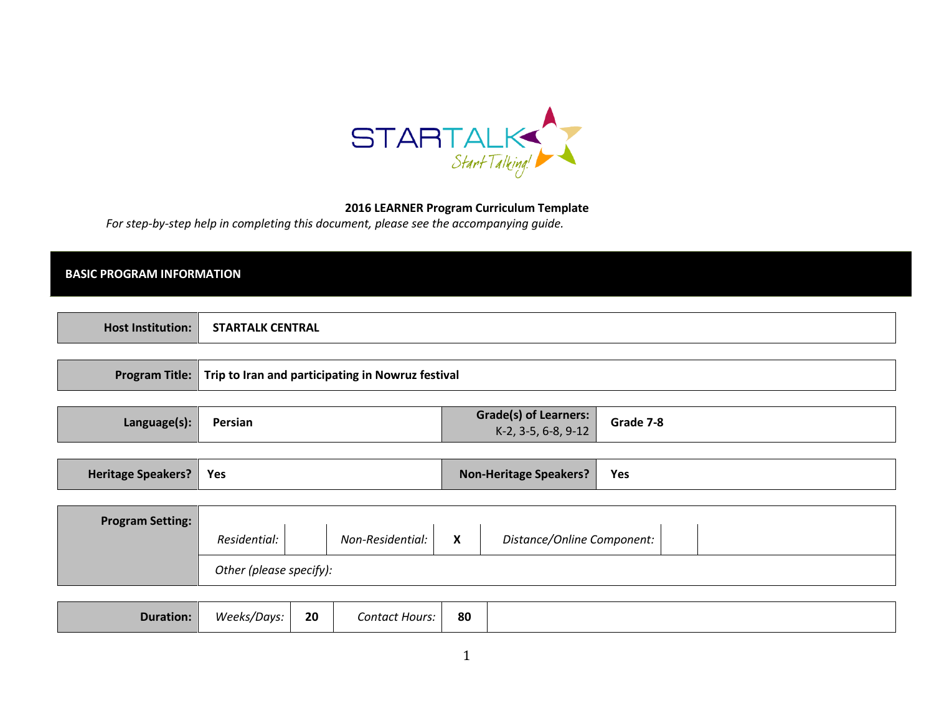

### 2016 LEARNER Program Curriculum Template

For step-by-step help in completing this document, please see the accompanying guide.

### BASIC PROGRAM INFORMATION

| <b>CENTRAL</b><br>TALK<br>,IAR<br>iuuuon: |
|-------------------------------------------|
|-------------------------------------------|

|  | Program Title:   Trip to Iran and participating in Nowruz festival |
|--|--------------------------------------------------------------------|
|--|--------------------------------------------------------------------|

|--|

| <b>Heritage Speakers?</b> | Yes * | <b>Non-Heritage Speakers?</b> | Yes |
|---------------------------|-------|-------------------------------|-----|
|---------------------------|-------|-------------------------------|-----|

| <b>Program Setting:</b> |                         |                  |                             |                            |  |  |
|-------------------------|-------------------------|------------------|-----------------------------|----------------------------|--|--|
|                         | Residential:            | Non-Residential: | $\mathbf v$<br>$\mathbf{v}$ | Distance/Online Component: |  |  |
|                         | Other (please specify): |                  |                             |                            |  |  |

| 80<br>Contact Hours: |
|----------------------|
|----------------------|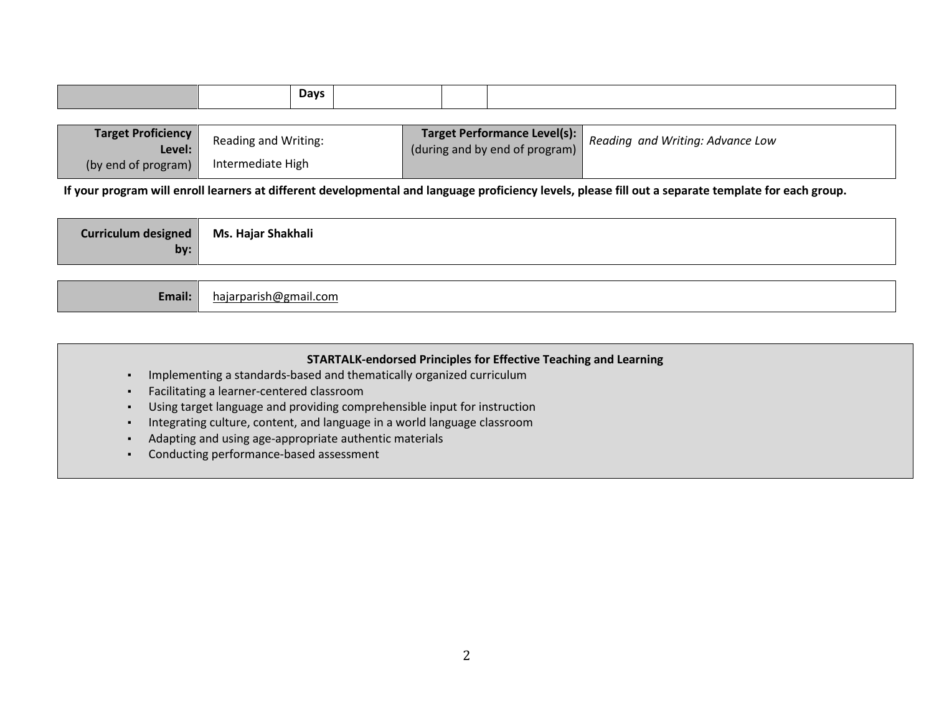|  |  |  | <b>Davs</b> |  |  |  |
|--|--|--|-------------|--|--|--|
|--|--|--|-------------|--|--|--|

| <b>Target Proficiency</b><br>Level: | Reading and Writing: | Target Performance Level(s):<br>(during and by end of program) | Reading and Writing: Advance Low |
|-------------------------------------|----------------------|----------------------------------------------------------------|----------------------------------|
| (by end of program)                 | Intermediate High    |                                                                |                                  |

If your program will enroll learners at different developmental and language proficiency levels, please fill out a separate template for each group.

| `UKKIAULUM<br>$\overline{\phantom{a}}$ | Shakhali<br>Ms.<br>. Haia |
|----------------------------------------|---------------------------|
| bv:                                    |                           |

| Email: | hajarparish@gmail.com |
|--------|-----------------------|
|--------|-----------------------|

| <b>STARTALK-endorsed Principles for Effective Teaching and Learning</b>  |
|--------------------------------------------------------------------------|
| Implementing a standards-based and thematically organized curriculum     |
| Facilitating a learner-centered classroom                                |
| Using target language and providing comprehensible input for instruction |
| Integrating culture, content, and language in a world language classroom |
| Adapting and using age-appropriate authentic materials                   |
| Conducting performance-based assessment                                  |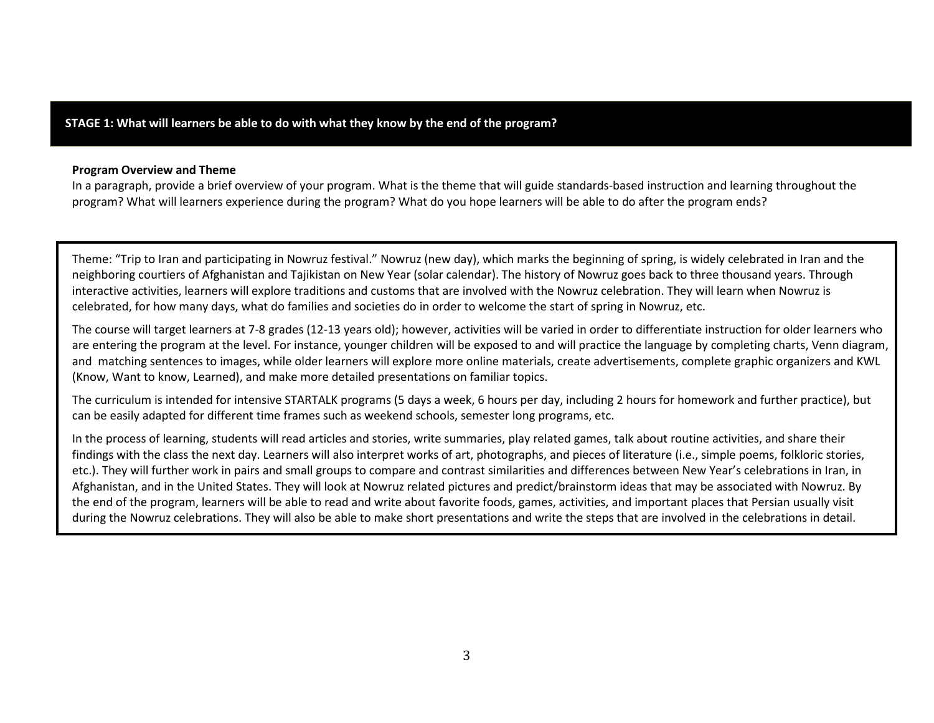### STAGE 1: What will learners be able to do with what they know by the end of the program?

#### Program Overview and Theme

 In a paragraph, provide a brief overview of your program. What is the theme that will guide standards-based instruction and learning throughout the program? What will learners experience during the program? What do you hope learners will be able to do after the program ends?

Theme: "Trip to Iran and participating in Nowruz festival." Nowruz (new day), which marks the beginning of spring, is widely celebrated in Iran and the neighboring courtiers of Afghanistan and Tajikistan on New Year (solar calendar). The history of Nowruz goes back to three thousand years. Through interactive activities, learners will explore traditions and customs that are involved with the Nowruz celebration. They will learn when Nowruz is celebrated, for how many days, what do families and societies do in order to welcome the start of spring in Nowruz, etc.

The course will target learners at 7-8 grades (12-13 years old); however, activities will be varied in order to differentiate instruction for older learners who are entering the program at the level. For instance, younger children will be exposed to and will practice the language by completing charts, Venn diagram, and matching sentences to images, while older learners will explore more online materials, create advertisements, complete graphic organizers and KWL (Know, Want to know, Learned), and make more detailed presentations on familiar topics.

The curriculum is intended for intensive STARTALK programs (5 days a week, 6 hours per day, including 2 hours for homework and further practice), but can be easily adapted for different time frames such as weekend schools, semester long programs, etc.

In the process of learning, students will read articles and stories, write summaries, play related games, talk about routine activities, and share their findings with the class the next day. Learners will also interpret works of art, photographs, and pieces of literature (i.e., simple poems, folkloric stories, etc.). They will further work in pairs and small groups to compare and contrast similarities and differences between New Year's celebrations in Iran, in Afghanistan, and in the United States. They will look at Nowruz related pictures and predict/brainstorm ideas that may be associated with Nowruz. By the end of the program, learners will be able to read and write about favorite foods, games, activities, and important places that Persian usually visit during the Nowruz celebrations. They will also be able to make short presentations and write the steps that are involved in the celebrations in detail.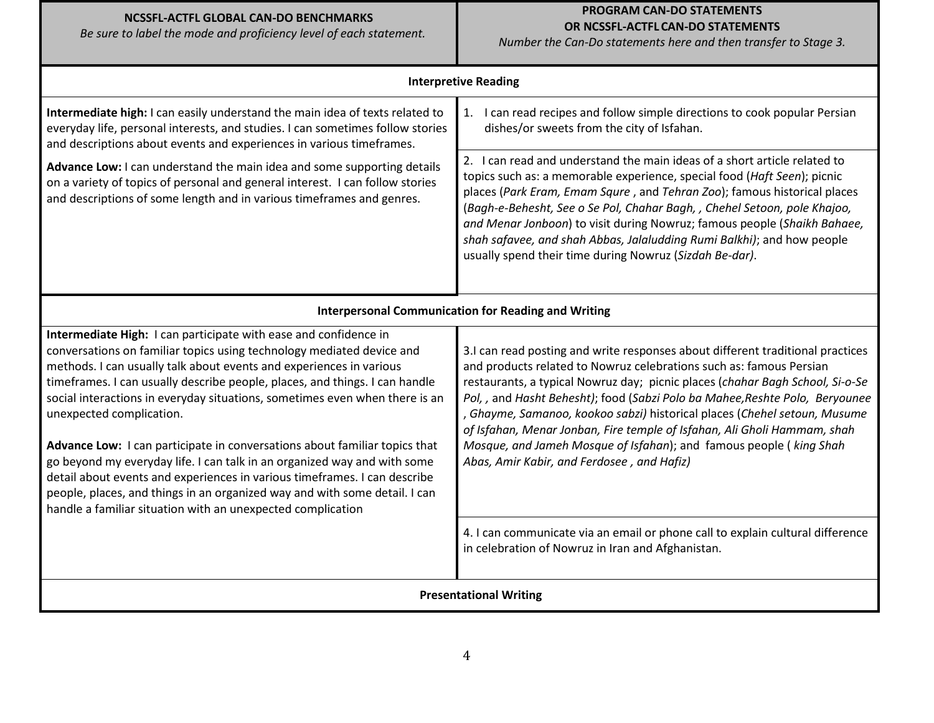# NCSSFL-ACTFL GLOBAL CAN-DO BENCHMARKS

Be sure to label the mode and proficiency level of each statement.

# PROGRAM CAN-DO STATEMENTS OR NCSSFL-ACTFL CAN-DO STATEMENTS

Number the Can-Do statements here and then transfer to Stage 3.

|                                                                                                                                                                                                                                                                                                                                                                                                                                                                                                                                                                                                                                                                                                                                                                                                | <b>Interpretive Reading</b>                                                                                                                                                                                                                                                                                                                                                                                                                                                                                                                                                                       |
|------------------------------------------------------------------------------------------------------------------------------------------------------------------------------------------------------------------------------------------------------------------------------------------------------------------------------------------------------------------------------------------------------------------------------------------------------------------------------------------------------------------------------------------------------------------------------------------------------------------------------------------------------------------------------------------------------------------------------------------------------------------------------------------------|---------------------------------------------------------------------------------------------------------------------------------------------------------------------------------------------------------------------------------------------------------------------------------------------------------------------------------------------------------------------------------------------------------------------------------------------------------------------------------------------------------------------------------------------------------------------------------------------------|
| Intermediate high: I can easily understand the main idea of texts related to<br>everyday life, personal interests, and studies. I can sometimes follow stories<br>and descriptions about events and experiences in various timeframes.                                                                                                                                                                                                                                                                                                                                                                                                                                                                                                                                                         | I can read recipes and follow simple directions to cook popular Persian<br>1.<br>dishes/or sweets from the city of Isfahan.                                                                                                                                                                                                                                                                                                                                                                                                                                                                       |
| Advance Low: I can understand the main idea and some supporting details<br>on a variety of topics of personal and general interest. I can follow stories<br>and descriptions of some length and in various timeframes and genres.                                                                                                                                                                                                                                                                                                                                                                                                                                                                                                                                                              | 2. I can read and understand the main ideas of a short article related to<br>topics such as: a memorable experience, special food (Haft Seen); picnic<br>places (Park Eram, Emam Squre, and Tehran Zoo); famous historical places<br>(Bagh-e-Behesht, See o Se Pol, Chahar Bagh, , Chehel Setoon, pole Khajoo,<br>and Menar Jonboon) to visit during Nowruz; famous people (Shaikh Bahaee,<br>shah safavee, and shah Abbas, Jalaludding Rumi Balkhi); and how people<br>usually spend their time during Nowruz (Sizdah Be-dar).                                                                   |
|                                                                                                                                                                                                                                                                                                                                                                                                                                                                                                                                                                                                                                                                                                                                                                                                | <b>Interpersonal Communication for Reading and Writing</b>                                                                                                                                                                                                                                                                                                                                                                                                                                                                                                                                        |
| Intermediate High: I can participate with ease and confidence in<br>conversations on familiar topics using technology mediated device and<br>methods. I can usually talk about events and experiences in various<br>timeframes. I can usually describe people, places, and things. I can handle<br>social interactions in everyday situations, sometimes even when there is an<br>unexpected complication.<br>Advance Low: I can participate in conversations about familiar topics that<br>go beyond my everyday life. I can talk in an organized way and with some<br>detail about events and experiences in various timeframes. I can describe<br>people, places, and things in an organized way and with some detail. I can<br>handle a familiar situation with an unexpected complication | 3.I can read posting and write responses about different traditional practices<br>and products related to Nowruz celebrations such as: famous Persian<br>restaurants, a typical Nowruz day; picnic places (chahar Bagh School, Si-o-Se<br>Pol,, and Hasht Behesht); food (Sabzi Polo ba Mahee, Reshte Polo, Beryounee<br>Ghayme, Samanoo, kookoo sabzi) historical places (Chehel setoun, Musume<br>of Isfahan, Menar Jonban, Fire temple of Isfahan, Ali Gholi Hammam, shah<br>Mosque, and Jameh Mosque of Isfahan); and famous people ( king Shah<br>Abas, Amir Kabir, and Ferdosee, and Hafiz) |
|                                                                                                                                                                                                                                                                                                                                                                                                                                                                                                                                                                                                                                                                                                                                                                                                | 4. I can communicate via an email or phone call to explain cultural difference<br>in celebration of Nowruz in Iran and Afghanistan.                                                                                                                                                                                                                                                                                                                                                                                                                                                               |
|                                                                                                                                                                                                                                                                                                                                                                                                                                                                                                                                                                                                                                                                                                                                                                                                | <b>Presentational Writing</b>                                                                                                                                                                                                                                                                                                                                                                                                                                                                                                                                                                     |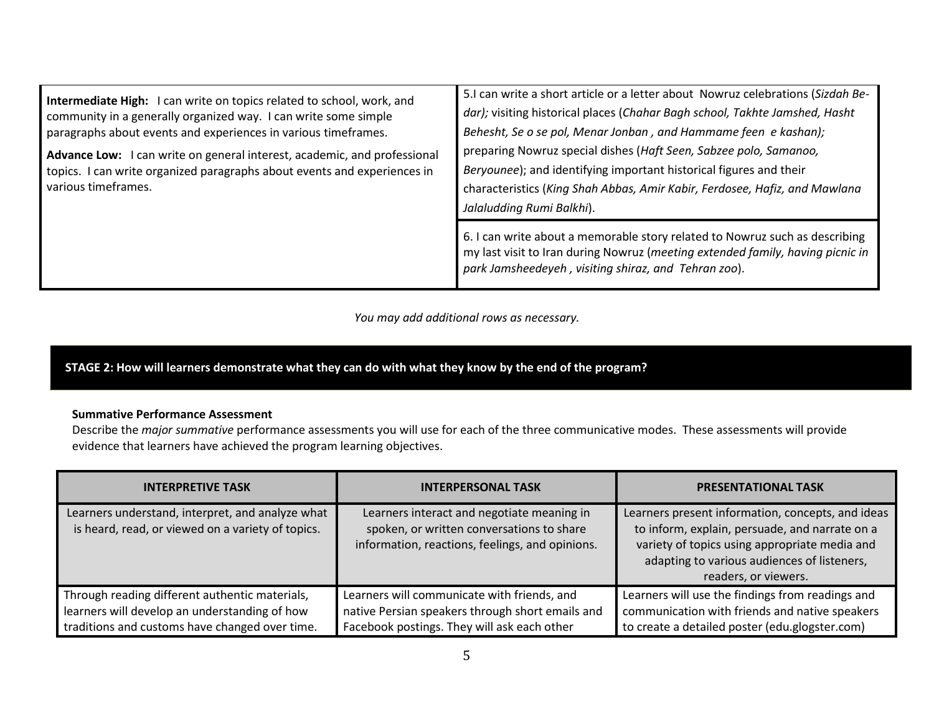| Intermediate High: I can write on topics related to school, work, and<br>community in a generally organized way. I can write some simple<br>paragraphs about events and experiences in various timeframes.<br>Advance Low: I can write on general interest, academic, and professional<br>topics. I can write organized paragraphs about events and experiences in<br>various timeframes. | 5.1 can write a short article or a letter about Nowruz celebrations (Sizdah Be-<br>dar); visiting historical places (Chahar Bagh school, Takhte Jamshed, Hasht<br>Behesht, Se o se pol, Menar Jonban, and Hammame feen e kashan);<br>preparing Nowruz special dishes (Haft Seen, Sabzee polo, Samanoo,<br>Beryounee); and identifying important historical figures and their<br>characteristics (King Shah Abbas, Amir Kabir, Ferdosee, Hafiz, and Mawlana<br>Jalaludding Rumi Balkhi). |  |
|-------------------------------------------------------------------------------------------------------------------------------------------------------------------------------------------------------------------------------------------------------------------------------------------------------------------------------------------------------------------------------------------|-----------------------------------------------------------------------------------------------------------------------------------------------------------------------------------------------------------------------------------------------------------------------------------------------------------------------------------------------------------------------------------------------------------------------------------------------------------------------------------------|--|
|                                                                                                                                                                                                                                                                                                                                                                                           | 6. I can write about a memorable story related to Nowruz such as describing<br>my last visit to Iran during Nowruz (meeting extended family, having picnic in<br>park Jamsheedeyeh, visiting shiraz, and Tehran zoo).                                                                                                                                                                                                                                                                   |  |

You may add additional rows as necessary.

# STAGE 2: How will learners demonstrate what they can do with what they know by the end of the program?

#### Summative Performance Assessment

Describe the *major summative* performance assessments you will use for each of the three communicative modes. These assessments will provide evidence that learners have achieved the program learning objectives.

| <b>INTERPRETIVE TASK</b>                                                                                                                          | <b>INTERPERSONAL TASK</b>                                                                                                                      | <b>PRESENTATIONAL TASK</b>                                                                                                                                                                                                  |
|---------------------------------------------------------------------------------------------------------------------------------------------------|------------------------------------------------------------------------------------------------------------------------------------------------|-----------------------------------------------------------------------------------------------------------------------------------------------------------------------------------------------------------------------------|
| Learners understand, interpret, and analyze what<br>is heard, read, or viewed on a variety of topics.                                             | Learners interact and negotiate meaning in<br>spoken, or written conversations to share<br>information, reactions, feelings, and opinions.     | Learners present information, concepts, and ideas<br>to inform, explain, persuade, and narrate on a<br>variety of topics using appropriate media and<br>adapting to various audiences of listeners,<br>readers, or viewers. |
| Through reading different authentic materials,<br>learners will develop an understanding of how<br>traditions and customs have changed over time. | Learners will communicate with friends, and<br>native Persian speakers through short emails and<br>Facebook postings. They will ask each other | Learners will use the findings from readings and<br>communication with friends and native speakers<br>to create a detailed poster (edu.glogster.com)                                                                        |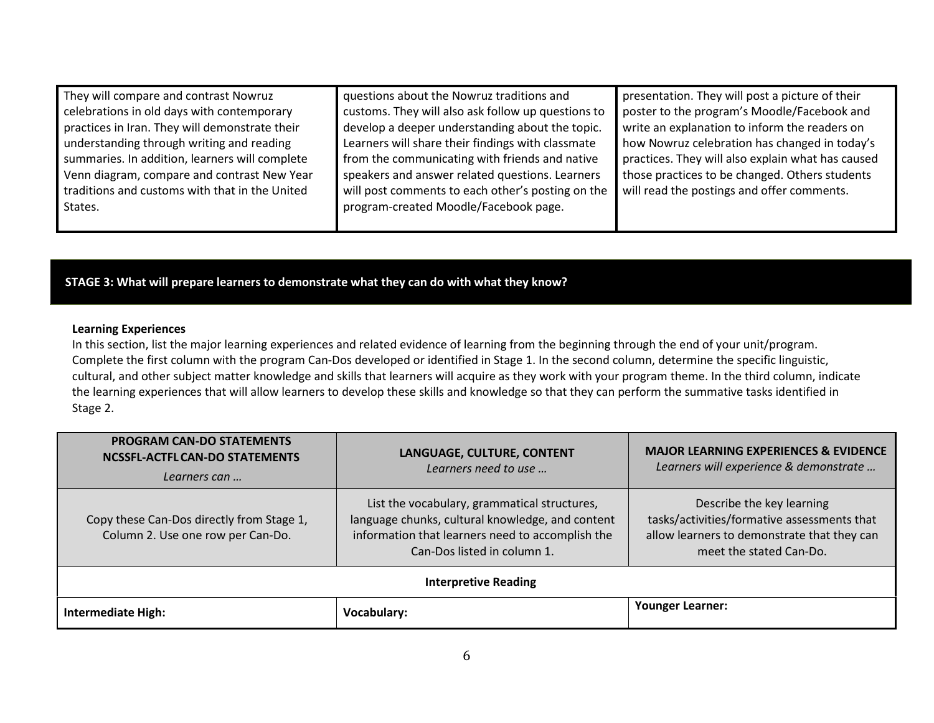| They will compare and contrast Nowruz          | questions about the Nowruz traditions and          | presentation. They will post a picture of their   |
|------------------------------------------------|----------------------------------------------------|---------------------------------------------------|
| celebrations in old days with contemporary     | customs. They will also ask follow up questions to | poster to the program's Moodle/Facebook and       |
| practices in Iran. They will demonstrate their | develop a deeper understanding about the topic.    | write an explanation to inform the readers on     |
| understanding through writing and reading      | Learners will share their findings with classmate  | how Nowruz celebration has changed in today's     |
| summaries. In addition, learners will complete | from the communicating with friends and native     | practices. They will also explain what has caused |
| Venn diagram, compare and contrast New Year    | speakers and answer related questions. Learners    | those practices to be changed. Others students    |
| traditions and customs with that in the United | will post comments to each other's posting on the  | will read the postings and offer comments.        |
| States.                                        | program-created Moodle/Facebook page.              |                                                   |
|                                                |                                                    |                                                   |

STAGE 3: What will prepare learners to demonstrate what they can do with what they know?

#### Learning Experiences

 In this section, list the major learning experiences and related evidence of learning from the beginning through the end of your unit/program. Complete the first column with the program Can-Dos developed or identified in Stage 1. In the second column, determine the specific linguistic, cultural, and other subject matter knowledge and skills that learners will acquire as they work with your program theme. In the third column, indicate the learning experiences that will allow learners to develop these skills and knowledge so that they can perform the summative tasks identified in Stage 2.

| <b>PROGRAM CAN-DO STATEMENTS</b><br>NCSSFL-ACTFL CAN-DO STATEMENTS<br>Learners can | LANGUAGE, CULTURE, CONTENT<br>Learners need to use                                                                                                                                  | <b>MAJOR LEARNING EXPERIENCES &amp; EVIDENCE</b><br>Learners will experience & demonstrate                                                         |
|------------------------------------------------------------------------------------|-------------------------------------------------------------------------------------------------------------------------------------------------------------------------------------|----------------------------------------------------------------------------------------------------------------------------------------------------|
| Copy these Can-Dos directly from Stage 1,<br>Column 2. Use one row per Can-Do.     | List the vocabulary, grammatical structures,<br>language chunks, cultural knowledge, and content<br>information that learners need to accomplish the<br>Can-Dos listed in column 1. | Describe the key learning<br>tasks/activities/formative assessments that<br>allow learners to demonstrate that they can<br>meet the stated Can-Do. |
| <b>Interpretive Reading</b>                                                        |                                                                                                                                                                                     |                                                                                                                                                    |
| <b>Intermediate High:</b>                                                          | Vocabulary:                                                                                                                                                                         | <b>Younger Learner:</b>                                                                                                                            |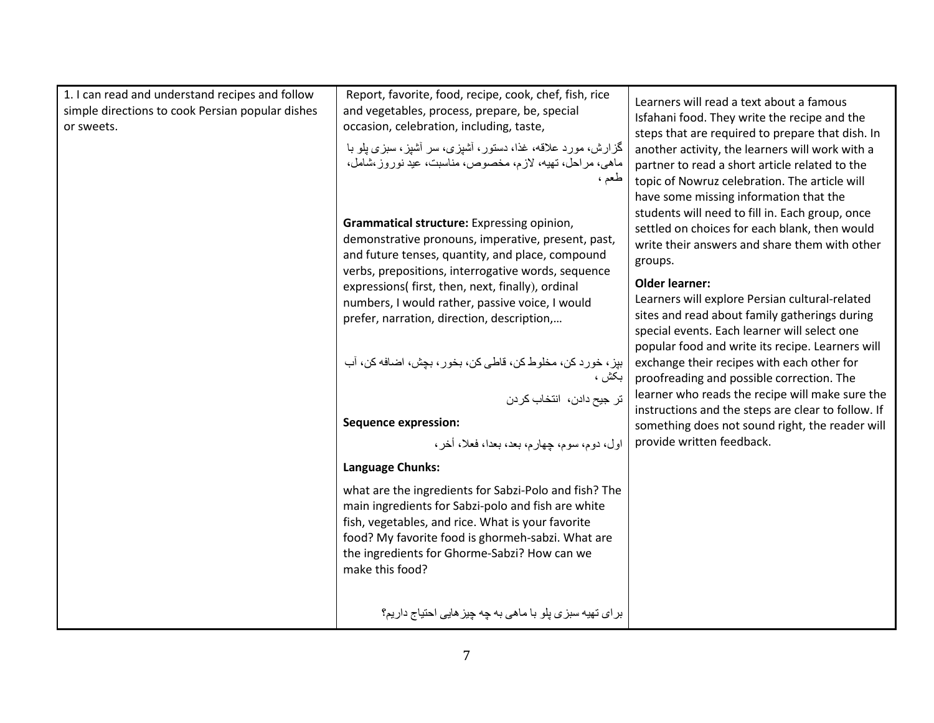| 1. I can read and understand recipes and follow<br>simple directions to cook Persian popular dishes<br>or sweets. | Report, favorite, food, recipe, cook, chef, fish, rice<br>and vegetables, process, prepare, be, special<br>occasion, celebration, including, taste,<br>گزارش، مورد علاقه، غذا، دستور، أشپزی، سر أشیز، سبزی پلو با<br>ماهی، مراحل، تهیه، لازم، مخصوص، مناسبت، عید نوروز،شامل،<br>طعم ،    | Learners will read a text about a famous<br>Isfahani food. They write the recipe and the<br>steps that are required to prepare that dish. In<br>another activity, the learners will work with a<br>partner to read a short article related to the<br>topic of Nowruz celebration. The article will<br>have some missing information that the |
|-------------------------------------------------------------------------------------------------------------------|------------------------------------------------------------------------------------------------------------------------------------------------------------------------------------------------------------------------------------------------------------------------------------------|----------------------------------------------------------------------------------------------------------------------------------------------------------------------------------------------------------------------------------------------------------------------------------------------------------------------------------------------|
|                                                                                                                   | Grammatical structure: Expressing opinion,<br>demonstrative pronouns, imperative, present, past,<br>and future tenses, quantity, and place, compound<br>verbs, prepositions, interrogative words, sequence                                                                               | students will need to fill in. Each group, once<br>settled on choices for each blank, then would<br>write their answers and share them with other<br>groups.                                                                                                                                                                                 |
|                                                                                                                   | expressions( first, then, next, finally), ordinal<br>numbers, I would rather, passive voice, I would<br>prefer, narration, direction, description,                                                                                                                                       | <b>Older learner:</b><br>Learners will explore Persian cultural-related<br>sites and read about family gatherings during<br>special events. Each learner will select one<br>popular food and write its recipe. Learners will                                                                                                                 |
|                                                                                                                   | بپز، خورد كن، مخلوط كن، قاطي كن، بخور، بچش، اضافه كن، أب<br>بكش ،<br>تر جيح دادن، انتخاب كردن                                                                                                                                                                                            | exchange their recipes with each other for<br>proofreading and possible correction. The<br>learner who reads the recipe will make sure the<br>instructions and the steps are clear to follow. If                                                                                                                                             |
|                                                                                                                   | <b>Sequence expression:</b><br>اول، دوم، سوم، جهارم، بعد، بعدا، فعلا، أخر ،                                                                                                                                                                                                              | something does not sound right, the reader will<br>provide written feedback.                                                                                                                                                                                                                                                                 |
|                                                                                                                   | Language Chunks:                                                                                                                                                                                                                                                                         |                                                                                                                                                                                                                                                                                                                                              |
|                                                                                                                   | what are the ingredients for Sabzi-Polo and fish? The<br>main ingredients for Sabzi-polo and fish are white<br>fish, vegetables, and rice. What is your favorite<br>food? My favorite food is ghormeh-sabzi. What are<br>the ingredients for Ghorme-Sabzi? How can we<br>make this food? |                                                                                                                                                                                                                                                                                                                                              |
|                                                                                                                   | بر ای تھیه سبز ی پلو با ماهی به چه چیز هایی احتیاج داریم؟                                                                                                                                                                                                                                |                                                                                                                                                                                                                                                                                                                                              |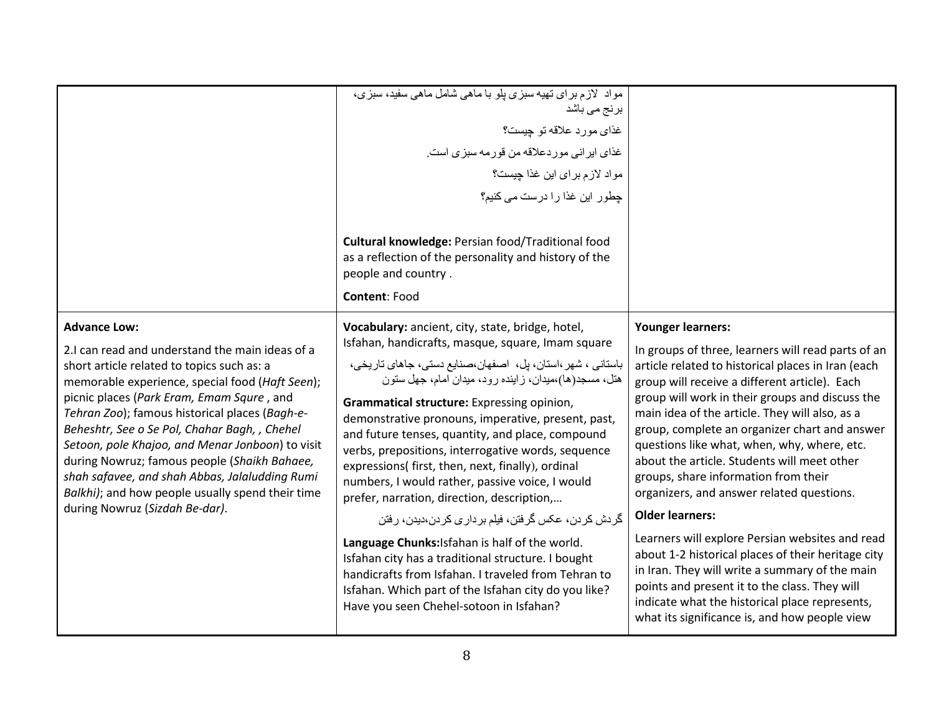|                                                                                                                                                                                                                                                                                                                                                                                                                                                                                                                                              | مواد لازم برای نهیه سبزی پلو با ماهی شامل ماهی سفید، سبزی،<br>برنج م <i>ی</i> باشد<br>غذاي مورد علاقه تو چيست؟<br>غذای ایر انی مور دعلاقه من قور مه سبز ی است.<br>مواد لازم براي اين غذا چيست؟<br>جطور این غذا را درست می کنیم؟                                                                                                                                                                                                                                                                                                              |                                                                                                                                                                                                                                                                                                                                                                                                                                                                                                    |
|----------------------------------------------------------------------------------------------------------------------------------------------------------------------------------------------------------------------------------------------------------------------------------------------------------------------------------------------------------------------------------------------------------------------------------------------------------------------------------------------------------------------------------------------|----------------------------------------------------------------------------------------------------------------------------------------------------------------------------------------------------------------------------------------------------------------------------------------------------------------------------------------------------------------------------------------------------------------------------------------------------------------------------------------------------------------------------------------------|----------------------------------------------------------------------------------------------------------------------------------------------------------------------------------------------------------------------------------------------------------------------------------------------------------------------------------------------------------------------------------------------------------------------------------------------------------------------------------------------------|
|                                                                                                                                                                                                                                                                                                                                                                                                                                                                                                                                              | Cultural knowledge: Persian food/Traditional food<br>as a reflection of the personality and history of the<br>people and country.<br>Content: Food                                                                                                                                                                                                                                                                                                                                                                                           |                                                                                                                                                                                                                                                                                                                                                                                                                                                                                                    |
| <b>Advance Low:</b>                                                                                                                                                                                                                                                                                                                                                                                                                                                                                                                          | Vocabulary: ancient, city, state, bridge, hotel,                                                                                                                                                                                                                                                                                                                                                                                                                                                                                             | <b>Younger learners:</b>                                                                                                                                                                                                                                                                                                                                                                                                                                                                           |
| 2.I can read and understand the main ideas of a<br>short article related to topics such as: a<br>memorable experience, special food (Haft Seen);<br>picnic places (Park Eram, Emam Squre, and<br>Tehran Zoo); famous historical places (Bagh-e-<br>Beheshtr, See o Se Pol, Chahar Bagh, , Chehel<br>Setoon, pole Khajoo, and Menar Jonboon) to visit<br>during Nowruz; famous people (Shaikh Bahaee,<br>shah safavee, and shah Abbas, Jalaludding Rumi<br>Balkhi); and how people usually spend their time<br>during Nowruz (Sizdah Be-dar). | Isfahan, handicrafts, masque, square, Imam square<br>باستانی ، شهر ،استان، پل، اصفهان،صنایع دستی، جاهای تاریخی،<br>هتل، مسجد(ها)،میدان، زاینده رود، میدان امام، جهل ستون<br>Grammatical structure: Expressing opinion,<br>demonstrative pronouns, imperative, present, past,<br>and future tenses, quantity, and place, compound<br>verbs, prepositions, interrogative words, sequence<br>expressions( first, then, next, finally), ordinal<br>numbers, I would rather, passive voice, I would<br>prefer, narration, direction, description, | In groups of three, learners will read parts of an<br>article related to historical places in Iran (each<br>group will receive a different article). Each<br>group will work in their groups and discuss the<br>main idea of the article. They will also, as a<br>group, complete an organizer chart and answer<br>questions like what, when, why, where, etc.<br>about the article. Students will meet other<br>groups, share information from their<br>organizers, and answer related questions. |
|                                                                                                                                                                                                                                                                                                                                                                                                                                                                                                                                              | گردش کردن، عکس گرفتن، فیلم بر داری کردن،دیدن، رفتن<br>Language Chunks: Isfahan is half of the world.<br>Isfahan city has a traditional structure. I bought<br>handicrafts from Isfahan. I traveled from Tehran to<br>Isfahan. Which part of the Isfahan city do you like?<br>Have you seen Chehel-sotoon in Isfahan?                                                                                                                                                                                                                         | <b>Older learners:</b><br>Learners will explore Persian websites and read<br>about 1-2 historical places of their heritage city<br>in Iran. They will write a summary of the main<br>points and present it to the class. They will<br>indicate what the historical place represents,<br>what its significance is, and how people view                                                                                                                                                              |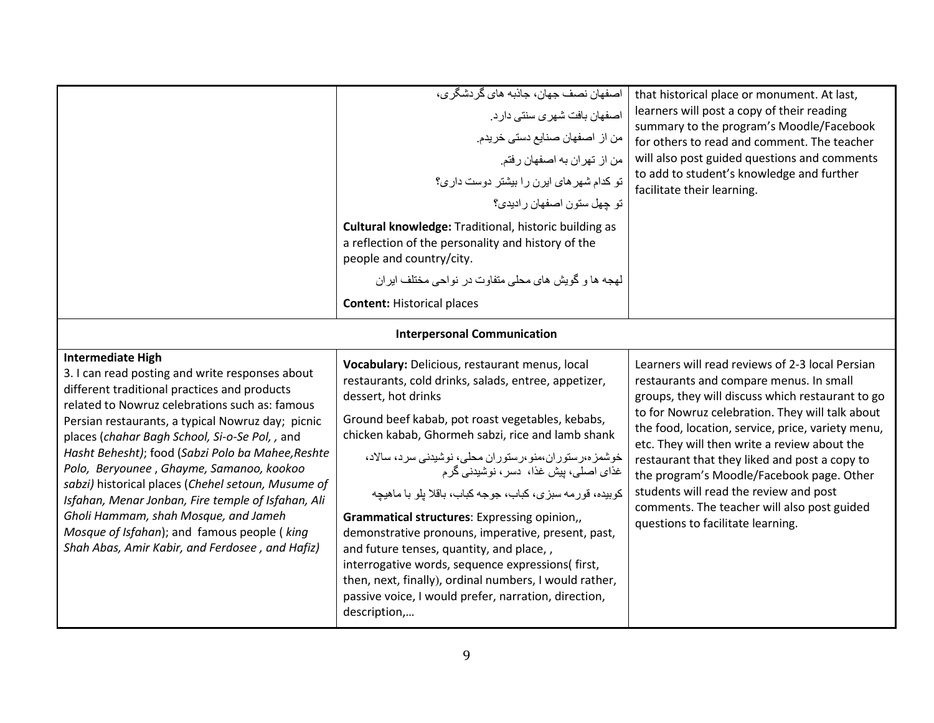|                                                                                                                                                                                                                                                                                                                                                                                                                                             | اصفهان نصف جهان، جاذبه های گر دشگر ی،<br>اصفهان بافت شهرى سنتى دارد.<br>من از اصفهان صنايع دستي خريدم.<br>من از تهران به اصفهان رفتم.<br>تو کدام شهر های ایرن را بیشتر دوست داری؟<br>تو چهل ستون اصفهان رادیدی؟<br><b>Cultural knowledge: Traditional, historic building as</b><br>a reflection of the personality and history of the<br>people and country/city.<br>لهجه ها و گویش های محلی متفاوت در نواحی مختلف ابر ان<br><b>Content: Historical places</b><br><b>Interpersonal Communication</b> | that historical place or monument. At last,<br>learners will post a copy of their reading<br>summary to the program's Moodle/Facebook<br>for others to read and comment. The teacher<br>will also post guided questions and comments<br>to add to student's knowledge and further<br>facilitate their learning.                                                                                                                                |
|---------------------------------------------------------------------------------------------------------------------------------------------------------------------------------------------------------------------------------------------------------------------------------------------------------------------------------------------------------------------------------------------------------------------------------------------|------------------------------------------------------------------------------------------------------------------------------------------------------------------------------------------------------------------------------------------------------------------------------------------------------------------------------------------------------------------------------------------------------------------------------------------------------------------------------------------------------|------------------------------------------------------------------------------------------------------------------------------------------------------------------------------------------------------------------------------------------------------------------------------------------------------------------------------------------------------------------------------------------------------------------------------------------------|
| <b>Intermediate High</b><br>3. I can read posting and write responses about<br>different traditional practices and products<br>related to Nowruz celebrations such as: famous<br>Persian restaurants, a typical Nowruz day; picnic<br>places (chahar Bagh School, Si-o-Se Pol, , and<br>Hasht Behesht); food (Sabzi Polo ba Mahee, Reshte<br>Polo, Beryounee, Ghayme, Samanoo, kookoo<br>sabzi) historical places (Chehel setoun, Musume of | Vocabulary: Delicious, restaurant menus, local<br>restaurants, cold drinks, salads, entree, appetizer,<br>dessert, hot drinks<br>Ground beef kabab, pot roast vegetables, kebabs,<br>chicken kabab, Ghormeh sabzi, rice and lamb shank<br>خوشمز ه،رستور ان،منو،رستور ان محلی، نوشیدنی سرد، سالاد،<br>غذای اصلی، بیش غذا، دسر ، نوشیدنی گر م                                                                                                                                                          | Learners will read reviews of 2-3 local Persian<br>restaurants and compare menus. In small<br>groups, they will discuss which restaurant to go<br>to for Nowruz celebration. They will talk about<br>the food, location, service, price, variety menu,<br>etc. They will then write a review about the<br>restaurant that they liked and post a copy to<br>the program's Moodle/Facebook page. Other<br>students will read the review and post |
| Isfahan, Menar Jonban, Fire temple of Isfahan, Ali<br>Gholi Hammam, shah Mosque, and Jameh<br>Mosque of Isfahan); and famous people ( king<br>Shah Abas, Amir Kabir, and Ferdosee, and Hafiz)                                                                                                                                                                                                                                               | كوبيده، قورمه سبزي، كباب، جوجه كباب، باقلا يلو با ماهيچه<br>Grammatical structures: Expressing opinion,,<br>demonstrative pronouns, imperative, present, past,<br>and future tenses, quantity, and place,,<br>interrogative words, sequence expressions(first,<br>then, next, finally), ordinal numbers, I would rather,<br>passive voice, I would prefer, narration, direction,<br>description,                                                                                                     | comments. The teacher will also post guided<br>questions to facilitate learning.                                                                                                                                                                                                                                                                                                                                                               |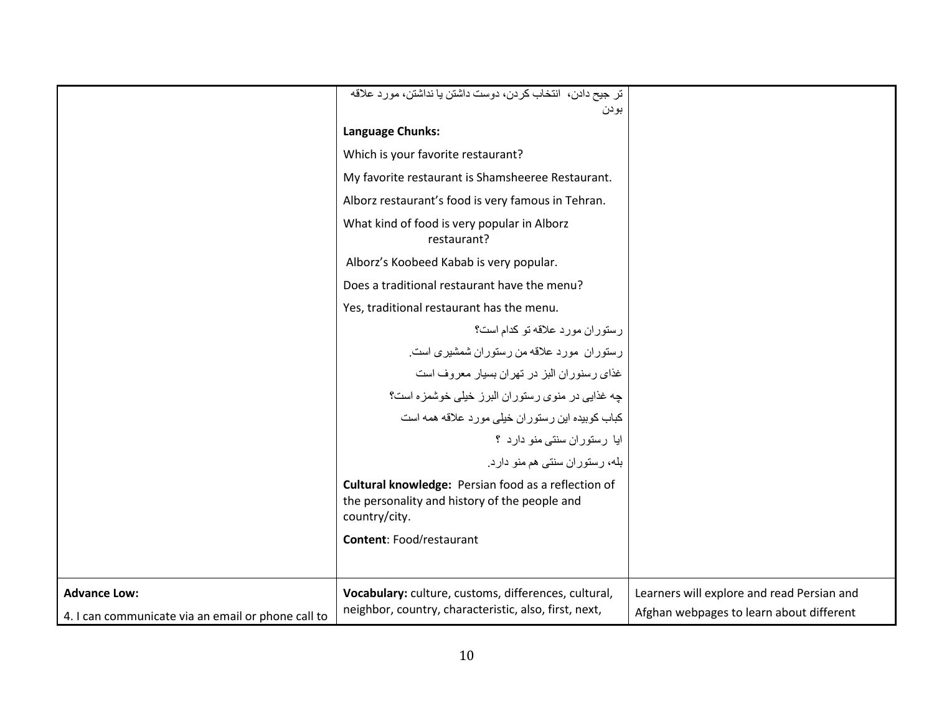|                                                                           | تر جيح دادن، انتخاب كردن، دوست داشتن يا نداشتن، مورد علاقه                                                            |                                                                                        |
|---------------------------------------------------------------------------|-----------------------------------------------------------------------------------------------------------------------|----------------------------------------------------------------------------------------|
|                                                                           | بودن<br>Language Chunks:                                                                                              |                                                                                        |
|                                                                           |                                                                                                                       |                                                                                        |
|                                                                           | Which is your favorite restaurant?                                                                                    |                                                                                        |
|                                                                           | My favorite restaurant is Shamsheeree Restaurant.                                                                     |                                                                                        |
|                                                                           | Alborz restaurant's food is very famous in Tehran.                                                                    |                                                                                        |
|                                                                           | What kind of food is very popular in Alborz<br>restaurant?                                                            |                                                                                        |
|                                                                           | Alborz's Koobeed Kabab is very popular.                                                                               |                                                                                        |
|                                                                           | Does a traditional restaurant have the menu?                                                                          |                                                                                        |
|                                                                           | Yes, traditional restaurant has the menu.                                                                             |                                                                                        |
|                                                                           | رستوران مورد علاقه تو كدام است؟                                                                                       |                                                                                        |
|                                                                           | رستوران مورد علاقه من رستوران شمشیری است.                                                                             |                                                                                        |
|                                                                           | غذای رسنوران البز در تهران بسیار معروف است                                                                            |                                                                                        |
|                                                                           | چه غذایی در منوی رستوران البرز خیلی خوشمزه است؟                                                                       |                                                                                        |
|                                                                           | کباب کوبیده این رستوران خیلی مورد علاقه همه است                                                                       |                                                                                        |
|                                                                           | ایا رستوران سنتی منو دارد ؟                                                                                           |                                                                                        |
|                                                                           | بله، رستوران سنتی هم منو دارد.                                                                                        |                                                                                        |
|                                                                           | Cultural knowledge: Persian food as a reflection of<br>the personality and history of the people and<br>country/city. |                                                                                        |
|                                                                           | <b>Content: Food/restaurant</b>                                                                                       |                                                                                        |
| <b>Advance Low:</b><br>4. I can communicate via an email or phone call to | Vocabulary: culture, customs, differences, cultural,<br>neighbor, country, characteristic, also, first, next,         | Learners will explore and read Persian and<br>Afghan webpages to learn about different |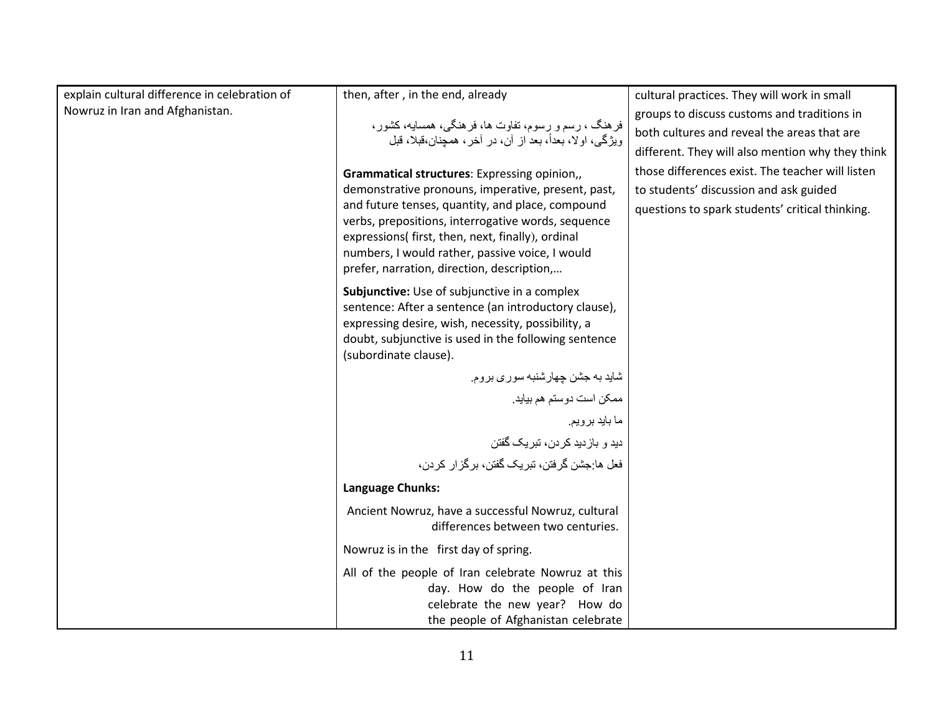| explain cultural difference in celebration of | then, after, in the end, already                                                                                                                                                                                                                             | cultural practices. They will work in small      |
|-----------------------------------------------|--------------------------------------------------------------------------------------------------------------------------------------------------------------------------------------------------------------------------------------------------------------|--------------------------------------------------|
| Nowruz in Iran and Afghanistan.               |                                                                                                                                                                                                                                                              | groups to discuss customs and traditions in      |
|                                               | فرهنگ ، رسم و رسوم، تفاوت ها، فرهنگی، همسایه، کشور،                                                                                                                                                                                                          | both cultures and reveal the areas that are      |
|                                               | ويژگي، اولا، بعداً، بعد از آن، در آخر، همچنان،قبلا، قبل                                                                                                                                                                                                      | different. They will also mention why they think |
|                                               | Grammatical structures: Expressing opinion,,                                                                                                                                                                                                                 | those differences exist. The teacher will listen |
|                                               | demonstrative pronouns, imperative, present, past,                                                                                                                                                                                                           | to students' discussion and ask guided           |
|                                               | and future tenses, quantity, and place, compound<br>verbs, prepositions, interrogative words, sequence<br>expressions( first, then, next, finally), ordinal<br>numbers, I would rather, passive voice, I would<br>prefer, narration, direction, description, | questions to spark students' critical thinking.  |
|                                               | Subjunctive: Use of subjunctive in a complex<br>sentence: After a sentence (an introductory clause),<br>expressing desire, wish, necessity, possibility, a<br>doubt, subjunctive is used in the following sentence<br>(subordinate clause).                  |                                                  |
|                                               | شاید به جشن چهارشنبه سوری بروم.                                                                                                                                                                                                                              |                                                  |
|                                               | ممكن است دوستم هم بيايد.                                                                                                                                                                                                                                     |                                                  |
|                                               | ما بايد برويم.                                                                                                                                                                                                                                               |                                                  |
|                                               | دید و بازدید کردن، تبریک گفتن                                                                                                                                                                                                                                |                                                  |
|                                               | فعل ها:جشن گرفتن، تبريک گفتن، برگز ار کردن،                                                                                                                                                                                                                  |                                                  |
|                                               | Language Chunks:                                                                                                                                                                                                                                             |                                                  |
|                                               | Ancient Nowruz, have a successful Nowruz, cultural<br>differences between two centuries.                                                                                                                                                                     |                                                  |
|                                               | Nowruz is in the first day of spring.                                                                                                                                                                                                                        |                                                  |
|                                               | All of the people of Iran celebrate Nowruz at this<br>day. How do the people of Iran<br>celebrate the new year? How do<br>the people of Afghanistan celebrate                                                                                                |                                                  |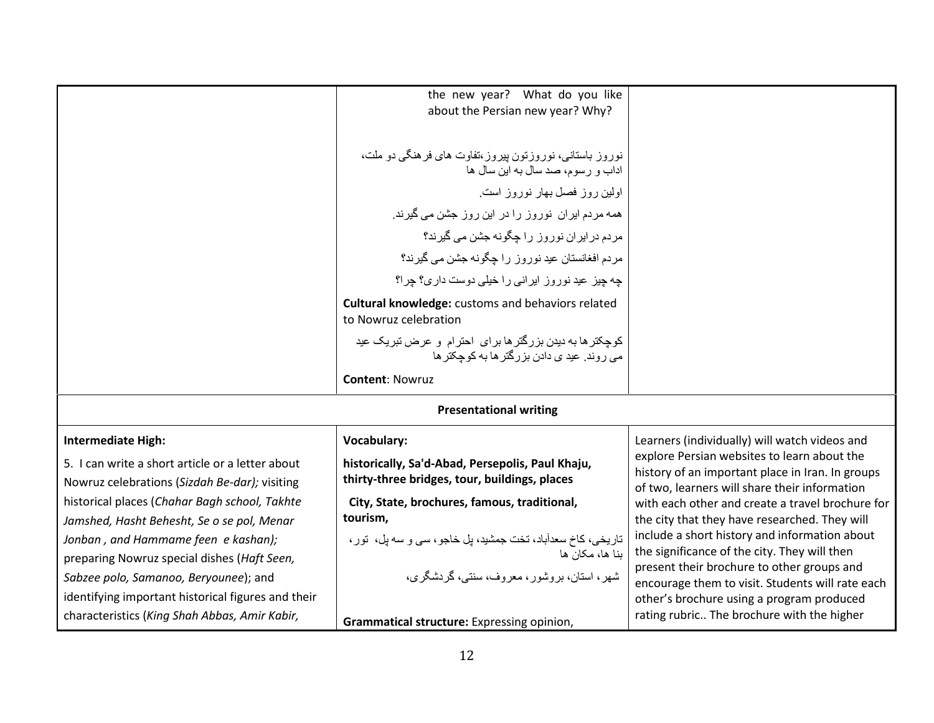|                                                                                                   | the new year? What do you like                                                                              |                                                                                                                                                  |
|---------------------------------------------------------------------------------------------------|-------------------------------------------------------------------------------------------------------------|--------------------------------------------------------------------------------------------------------------------------------------------------|
|                                                                                                   | about the Persian new year? Why?                                                                            |                                                                                                                                                  |
|                                                                                                   |                                                                                                             |                                                                                                                                                  |
|                                                                                                   | نوروز باستانی، نوروزتون پیروز ،تفاوت های فر هنگی دو ملت،<br>اداب و رسوم، صد سال به این سال ها               |                                                                                                                                                  |
|                                                                                                   | اولین روز فصل بهار نوروز است                                                                                |                                                                                                                                                  |
|                                                                                                   | همه مردم ایران نوروز را در این روز جشن می گیرند.                                                            |                                                                                                                                                  |
|                                                                                                   | مردم در ایر ان نور وز را جگونه جشن می گیرند؟                                                                |                                                                                                                                                  |
|                                                                                                   | مردم افغانستان عید نوروز را چگونه جشن می گیرند؟                                                             |                                                                                                                                                  |
|                                                                                                   | چه چیز عید نوروز ایرانی را خیلی دوست داری؟ چرا؟                                                             |                                                                                                                                                  |
|                                                                                                   | <b>Cultural knowledge:</b> customs and behaviors related<br>to Nowruz celebration                           |                                                                                                                                                  |
|                                                                                                   | کوچکتر ها به دیدن بزرگتر ها بر ای احترام و عرض تبریک عید<br>مے ر وند ِ عید ی دادن بز ر گنر ها به کو چکنر ها |                                                                                                                                                  |
|                                                                                                   | <b>Content: Nowruz</b>                                                                                      |                                                                                                                                                  |
|                                                                                                   | <b>Presentational writing</b>                                                                               |                                                                                                                                                  |
| <b>Intermediate High:</b>                                                                         | <b>Vocabulary:</b>                                                                                          | Learners (individually) will watch videos and                                                                                                    |
| 5. I can write a short article or a letter about<br>Nowruz celebrations (Sizdah Be-dar); visiting | historically, Sa'd-Abad, Persepolis, Paul Khaju,<br>thirty-three bridges, tour, buildings, places           | explore Persian websites to learn about the<br>history of an important place in Iran. In groups<br>of two, learners will share their information |
| historical places (Chahar Bagh school, Takhte                                                     | City, State, brochures, famous, traditional,                                                                | with each other and create a travel brochure for                                                                                                 |
| Jamshed, Hasht Behesht, Se o se pol, Menar                                                        | tourism,                                                                                                    | the city that they have researched. They will                                                                                                    |
| Jonban, and Hammame feen e kashan);                                                               | تاریخی، کاخ سعدآباد، تخت جمشید، پل خاجو ، سی و سه پل، تور ،                                                 | include a short history and information about<br>the significance of the city. They will then                                                    |
| preparing Nowruz special dishes (Haft Seen,                                                       | بنا ها، مکان ها                                                                                             | present their brochure to other groups and                                                                                                       |
| Sabzee polo, Samanoo, Beryounee); and                                                             | شهر ، استان، بر وشور ، معر وف، سنتبي، گر دشگر ي،                                                            | encourage them to visit. Students will rate each                                                                                                 |
| identifying important historical figures and their                                                |                                                                                                             | other's brochure using a program produced                                                                                                        |
| characteristics (King Shah Abbas, Amir Kabir,                                                     | Grammatical structure: Expressing opinion,                                                                  | rating rubric The brochure with the higher                                                                                                       |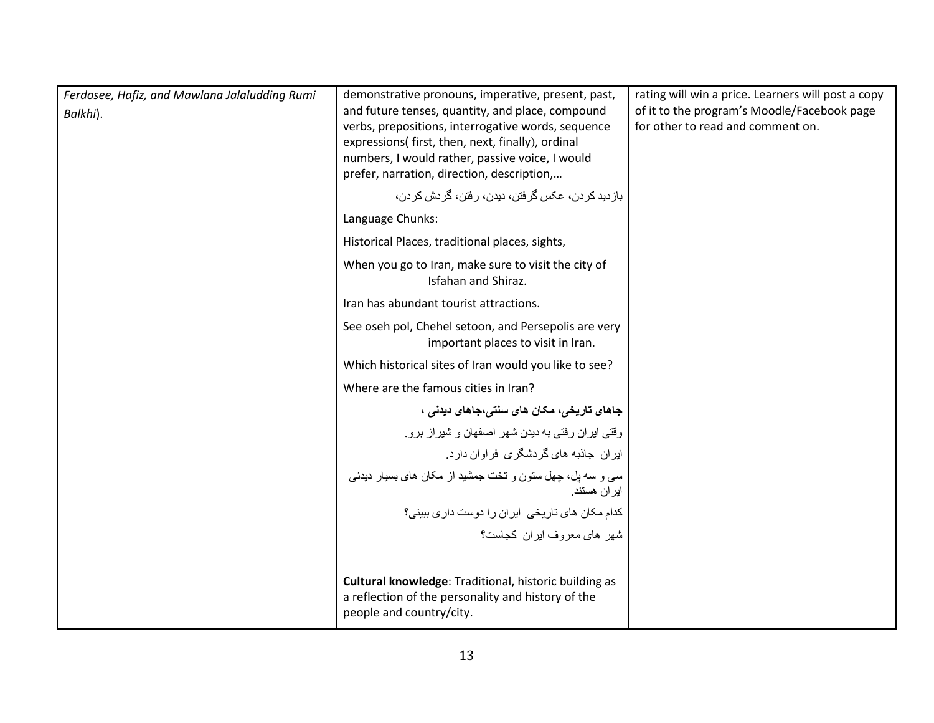| Ferdosee, Hafiz, and Mawlana Jalaludding Rumi<br>Balkhi). | demonstrative pronouns, imperative, present, past,<br>and future tenses, quantity, and place, compound<br>verbs, prepositions, interrogative words, sequence<br>expressions( first, then, next, finally), ordinal<br>numbers, I would rather, passive voice, I would<br>prefer, narration, direction, description,<br>باز دید کر دن، عکس گرفتن، دیدن، رفتن، گردش کر دن، | rating will win a price. Learners will post a copy<br>of it to the program's Moodle/Facebook page<br>for other to read and comment on. |
|-----------------------------------------------------------|-------------------------------------------------------------------------------------------------------------------------------------------------------------------------------------------------------------------------------------------------------------------------------------------------------------------------------------------------------------------------|----------------------------------------------------------------------------------------------------------------------------------------|
|                                                           | Language Chunks:                                                                                                                                                                                                                                                                                                                                                        |                                                                                                                                        |
|                                                           | Historical Places, traditional places, sights,                                                                                                                                                                                                                                                                                                                          |                                                                                                                                        |
|                                                           | When you go to Iran, make sure to visit the city of<br>Isfahan and Shiraz.                                                                                                                                                                                                                                                                                              |                                                                                                                                        |
|                                                           | Iran has abundant tourist attractions.                                                                                                                                                                                                                                                                                                                                  |                                                                                                                                        |
|                                                           | See oseh pol, Chehel setoon, and Persepolis are very<br>important places to visit in Iran.                                                                                                                                                                                                                                                                              |                                                                                                                                        |
|                                                           | Which historical sites of Iran would you like to see?                                                                                                                                                                                                                                                                                                                   |                                                                                                                                        |
|                                                           | Where are the famous cities in Iran?                                                                                                                                                                                                                                                                                                                                    |                                                                                                                                        |
|                                                           | جاهای تاریخی، مکان های سنتی،جاهای دیدنی ،                                                                                                                                                                                                                                                                                                                               |                                                                                                                                        |
|                                                           | وقتی ایران رفتی به دیدن شهر اصفهان و شیراز برو                                                                                                                                                                                                                                                                                                                          |                                                                                                                                        |
|                                                           | ایران جاذبه های گردشگری فراوان دارد.                                                                                                                                                                                                                                                                                                                                    |                                                                                                                                        |
|                                                           | سی و سه پل، چهل ستون و تخت جمشید از مکان های بسیار دیدنی<br>ایر ان هستند.                                                                                                                                                                                                                                                                                               |                                                                                                                                        |
|                                                           | كدام مكان هاى تاريخى ايران را دوست دارى ببينى؟                                                                                                                                                                                                                                                                                                                          |                                                                                                                                        |
|                                                           | شهر ها <i>ی م</i> عروف ایر ان کجاست؟                                                                                                                                                                                                                                                                                                                                    |                                                                                                                                        |
|                                                           |                                                                                                                                                                                                                                                                                                                                                                         |                                                                                                                                        |
|                                                           | Cultural knowledge: Traditional, historic building as<br>a reflection of the personality and history of the<br>people and country/city.                                                                                                                                                                                                                                 |                                                                                                                                        |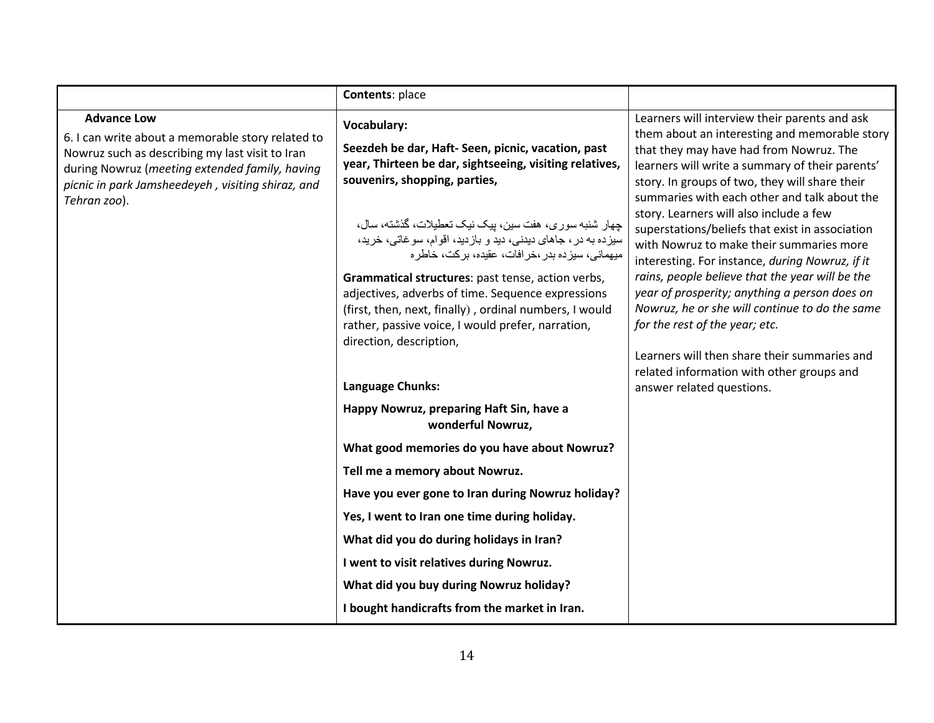|                                                                                                                                                                                                                                                   | Contents: place                                                                                                                                                                                                                                                                                                                                                                                                                                                                                                                                                                                   |                                                                                                                                                                                                                                                                                                                                                                                                                                                                                                                                                                                                                                                                                                                                     |
|---------------------------------------------------------------------------------------------------------------------------------------------------------------------------------------------------------------------------------------------------|---------------------------------------------------------------------------------------------------------------------------------------------------------------------------------------------------------------------------------------------------------------------------------------------------------------------------------------------------------------------------------------------------------------------------------------------------------------------------------------------------------------------------------------------------------------------------------------------------|-------------------------------------------------------------------------------------------------------------------------------------------------------------------------------------------------------------------------------------------------------------------------------------------------------------------------------------------------------------------------------------------------------------------------------------------------------------------------------------------------------------------------------------------------------------------------------------------------------------------------------------------------------------------------------------------------------------------------------------|
| <b>Advance Low</b><br>6. I can write about a memorable story related to<br>Nowruz such as describing my last visit to Iran<br>during Nowruz (meeting extended family, having<br>picnic in park Jamsheedeyeh, visiting shiraz, and<br>Tehran zoo). | Vocabulary:<br>Seezdeh be dar, Haft- Seen, picnic, vacation, past<br>year, Thirteen be dar, sightseeing, visiting relatives,<br>souvenirs, shopping, parties,<br>چهار شنبه سوري، هفت سين، پيک نيک تعطيلات، گذشته، سال،<br>سيزده به در ، جاهاي ديدني، ديد و بازديد، اقوام، سوغاتي، خريد،<br>میهمانی، سیز ده بدر ،خر افات، عقیده، بر کت، خاطر ه<br>Grammatical structures: past tense, action verbs,<br>adjectives, adverbs of time. Sequence expressions<br>(first, then, next, finally), ordinal numbers, I would<br>rather, passive voice, I would prefer, narration,<br>direction, description, | Learners will interview their parents and ask<br>them about an interesting and memorable story<br>that they may have had from Nowruz. The<br>learners will write a summary of their parents'<br>story. In groups of two, they will share their<br>summaries with each other and talk about the<br>story. Learners will also include a few<br>superstations/beliefs that exist in association<br>with Nowruz to make their summaries more<br>interesting. For instance, during Nowruz, if it<br>rains, people believe that the year will be the<br>year of prosperity; anything a person does on<br>Nowruz, he or she will continue to do the same<br>for the rest of the year; etc.<br>Learners will then share their summaries and |
|                                                                                                                                                                                                                                                   | Language Chunks:                                                                                                                                                                                                                                                                                                                                                                                                                                                                                                                                                                                  | related information with other groups and<br>answer related questions.                                                                                                                                                                                                                                                                                                                                                                                                                                                                                                                                                                                                                                                              |
|                                                                                                                                                                                                                                                   | Happy Nowruz, preparing Haft Sin, have a<br>wonderful Nowruz,                                                                                                                                                                                                                                                                                                                                                                                                                                                                                                                                     |                                                                                                                                                                                                                                                                                                                                                                                                                                                                                                                                                                                                                                                                                                                                     |
|                                                                                                                                                                                                                                                   | What good memories do you have about Nowruz?                                                                                                                                                                                                                                                                                                                                                                                                                                                                                                                                                      |                                                                                                                                                                                                                                                                                                                                                                                                                                                                                                                                                                                                                                                                                                                                     |
|                                                                                                                                                                                                                                                   | Tell me a memory about Nowruz.                                                                                                                                                                                                                                                                                                                                                                                                                                                                                                                                                                    |                                                                                                                                                                                                                                                                                                                                                                                                                                                                                                                                                                                                                                                                                                                                     |
|                                                                                                                                                                                                                                                   | Have you ever gone to Iran during Nowruz holiday?                                                                                                                                                                                                                                                                                                                                                                                                                                                                                                                                                 |                                                                                                                                                                                                                                                                                                                                                                                                                                                                                                                                                                                                                                                                                                                                     |
|                                                                                                                                                                                                                                                   | Yes, I went to Iran one time during holiday.                                                                                                                                                                                                                                                                                                                                                                                                                                                                                                                                                      |                                                                                                                                                                                                                                                                                                                                                                                                                                                                                                                                                                                                                                                                                                                                     |
|                                                                                                                                                                                                                                                   | What did you do during holidays in Iran?                                                                                                                                                                                                                                                                                                                                                                                                                                                                                                                                                          |                                                                                                                                                                                                                                                                                                                                                                                                                                                                                                                                                                                                                                                                                                                                     |
|                                                                                                                                                                                                                                                   | I went to visit relatives during Nowruz.                                                                                                                                                                                                                                                                                                                                                                                                                                                                                                                                                          |                                                                                                                                                                                                                                                                                                                                                                                                                                                                                                                                                                                                                                                                                                                                     |
|                                                                                                                                                                                                                                                   | What did you buy during Nowruz holiday?                                                                                                                                                                                                                                                                                                                                                                                                                                                                                                                                                           |                                                                                                                                                                                                                                                                                                                                                                                                                                                                                                                                                                                                                                                                                                                                     |
|                                                                                                                                                                                                                                                   | I bought handicrafts from the market in Iran.                                                                                                                                                                                                                                                                                                                                                                                                                                                                                                                                                     |                                                                                                                                                                                                                                                                                                                                                                                                                                                                                                                                                                                                                                                                                                                                     |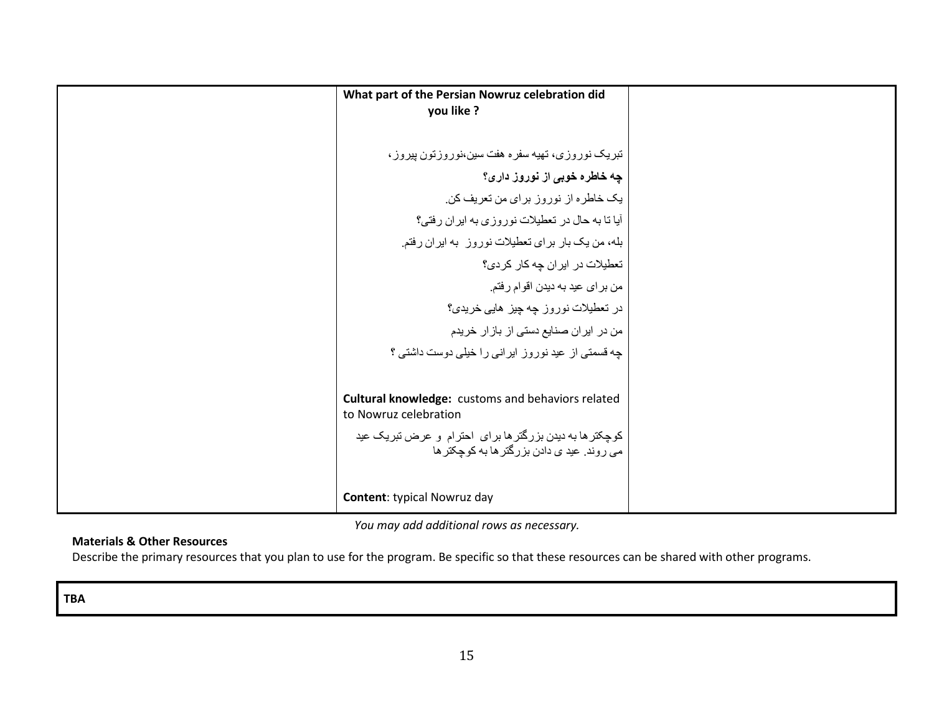What part of the Persian Nowruz celebration did  
\nyou like ?  
\n
$$
\begin{bmatrix}\n\text{What part of the Persian Nowruz celebration did\n
$$
\text{You like ?}
$$
\n
$$
\text{You like ?}
$$
\n
$$
\text{You like ?}
$$
\n
$$
\text{You like ?}
$$
\n
$$
\text{You like ?}
$$
\n
$$
\text{You like ?}
$$
\n
$$
\text{You like ?}
$$
\n
$$
\text{You like ?}
$$
\n
$$
\text{You like ?}
$$
\n
$$
\text{You like ?}
$$
\n
$$
\text{You like ?}
$$
\n
$$
\text{You like ?}
$$
\n
$$
\text{You like ?}
$$
\n
$$
\text{You like ?}
$$
\n
$$
\text{You like ?}
$$
\n
$$
\text{You like ?}
$$
\n
$$
\text{You like ?}
$$
\n
$$
\text{You like ?}
$$
\n
$$
\text{You like ?}
$$
\n
$$
\text{You like ?}
$$
\n
$$
\text{You like ?}
$$
\n
$$
\text{You like ?}
$$
\n
$$
\text{You like ?}
$$
\n
$$
\text{You like ?}
$$
\n
$$
\text{You like ?}
$$
\n
$$
\text{You like ?}
$$
\n
$$
\text{You like ?}
$$
\n
$$
\text{You like ?}
$$
\n
$$
\text{You like ?}
$$
\n
$$
\text{You like ?}
$$
\n
$$
\text{You like ?}
$$
\n
$$
\text{You like ?}
$$
\n
$$
\text{You like ?}
$$
\n
$$
\text{You like ?}
$$
\n
$$
\text{You like ?}
$$
\n
$$
\text{You like ?}
$$
\n
$$
\text{You like ?}
$$
\n
$$
\text{You like ?}
$$
\n
$$
\text{You like ?}
$$
\n
$$
\text{You like ?}
$$
\n
$$
\text{You like ?}
$$
\n
$$
\text{You like ?}
$$
\n
$$
\text{You like ?}
$$
\n
$$
\text{You like ?}
$$
\n
$$
\text{You like ?}
$$
\n
$$
\text{You like ?}
$$
\n
$$
\text{You like ?}
$$
\n
$$
\text{You like ?
$$
$$

You may add additional rows as necessary.

# Materials & Other Resources

Describe the primary resources that you plan to use for the program. Be specific so that these resources can be shared with other programs.

TBA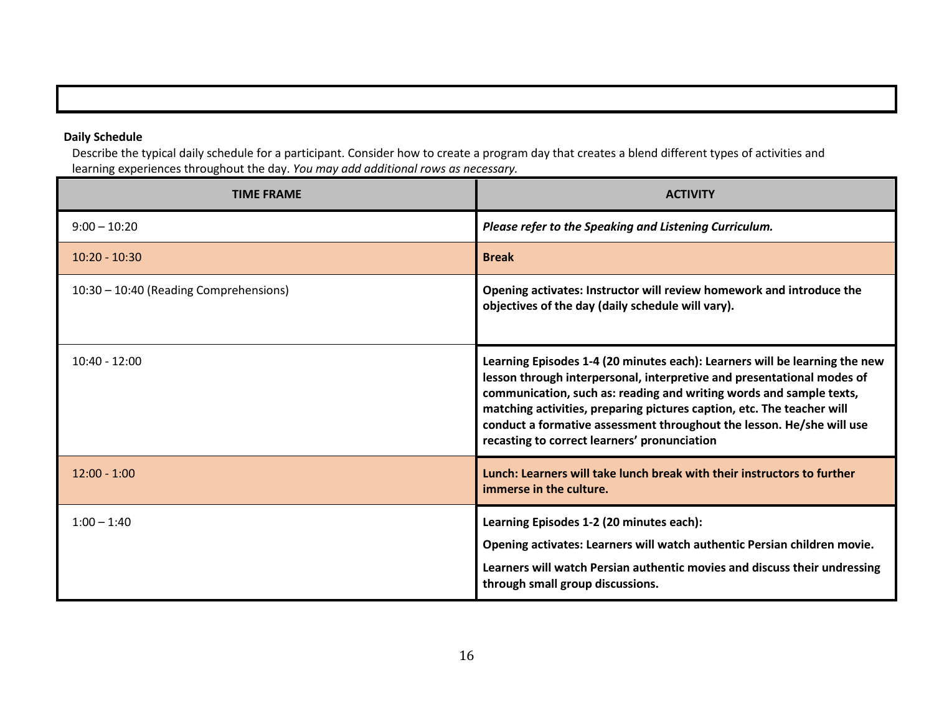# Daily Schedule

 Describe the typical daily schedule for a participant. Consider how to create a program day that creates a blend different types of activities and learning experiences throughout the day. You may add additional rows as necessary.

| <b>TIME FRAME</b>                      | <b>ACTIVITY</b>                                                                                                                                                                                                                                                                                                                                                                                                                |
|----------------------------------------|--------------------------------------------------------------------------------------------------------------------------------------------------------------------------------------------------------------------------------------------------------------------------------------------------------------------------------------------------------------------------------------------------------------------------------|
| $9:00 - 10:20$                         | Please refer to the Speaking and Listening Curriculum.                                                                                                                                                                                                                                                                                                                                                                         |
| $10:20 - 10:30$                        | <b>Break</b>                                                                                                                                                                                                                                                                                                                                                                                                                   |
| 10:30 - 10:40 (Reading Comprehensions) | Opening activates: Instructor will review homework and introduce the<br>objectives of the day (daily schedule will vary).                                                                                                                                                                                                                                                                                                      |
| $10:40 - 12:00$                        | Learning Episodes 1-4 (20 minutes each): Learners will be learning the new<br>lesson through interpersonal, interpretive and presentational modes of<br>communication, such as: reading and writing words and sample texts,<br>matching activities, preparing pictures caption, etc. The teacher will<br>conduct a formative assessment throughout the lesson. He/she will use<br>recasting to correct learners' pronunciation |
| $12:00 - 1:00$                         | Lunch: Learners will take lunch break with their instructors to further<br>immerse in the culture.                                                                                                                                                                                                                                                                                                                             |
| $1:00 - 1:40$                          | Learning Episodes 1-2 (20 minutes each):<br>Opening activates: Learners will watch authentic Persian children movie.<br>Learners will watch Persian authentic movies and discuss their undressing<br>through small group discussions.                                                                                                                                                                                          |